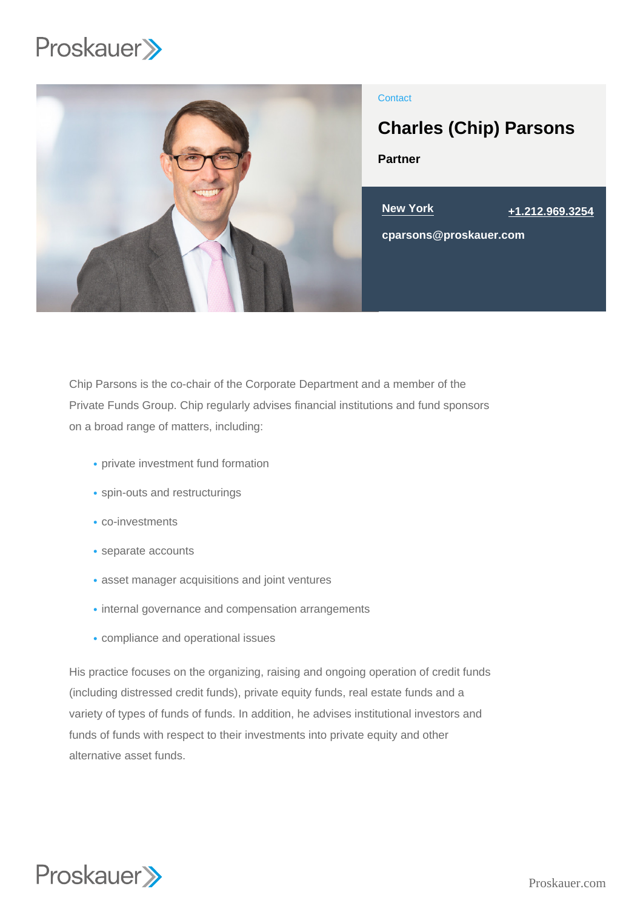

# **Contact**

# Charles (Chip) Parsons

Partner



Chip Parsons is the co-chair of the Corporate Department and a member of the Private Funds Group. Chip regularly advises financial institutions and fund sponsors on a broad range of matters, including:

- private investment fund formation
- spin-outs and restructurings
- co-investments
- separate accounts
- asset manager acquisitions and joint ventures
- internal governance and compensation arrangements
- compliance and operational issues

His practice focuses on the organizing, raising and ongoing operation of credit funds (including distressed credit funds), private equity funds, real estate funds and a variety of types of funds of funds. In addition, he advises institutional investors and funds of funds with respect to their investments into private equity and other alternative asset funds.